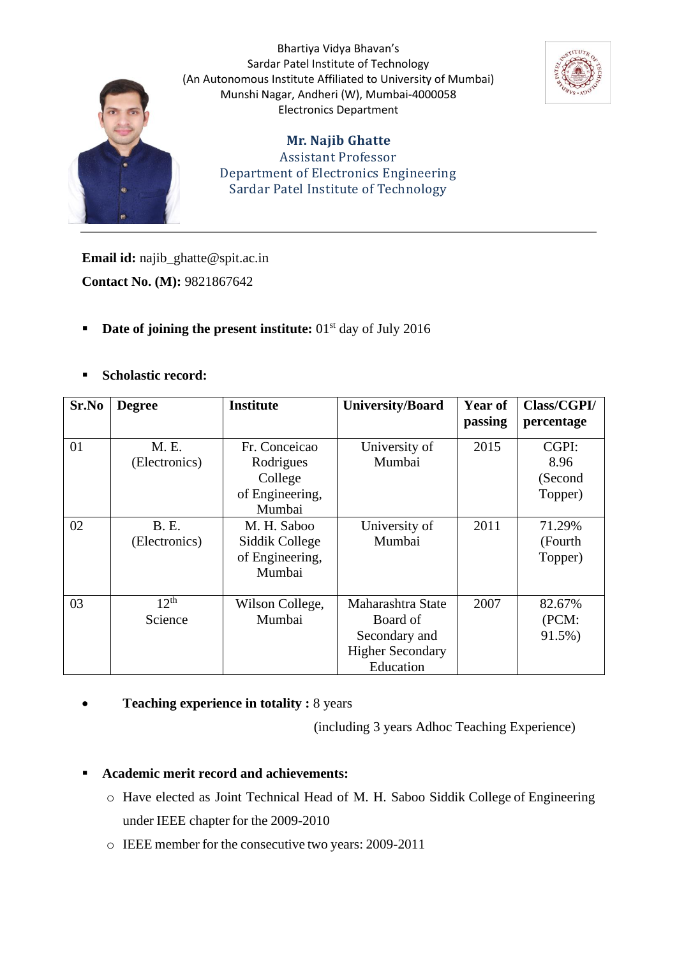

Bhartiya Vidya Bhavan's Sardar Patel Institute of Technology (An Autonomous Institute Affiliated to University of Mumbai) Munshi Nagar, Andheri (W), Mumbai-4000058 Electronics Department



**Mr. Najib Ghatte** Assistant Professor Department of Electronics Engineering Sardar Patel Institute of Technology

**Email id:** najib\_ghatte@spit.ac.in **Contact No. (M):** 9821867642

- **Date of joining the present institute:** 01<sup>st</sup> day of July 2016
- **Scholastic record:**

| Sr.No | <b>Degree</b> | <b>Institute</b> | <b>University/Board</b> | <b>Year of</b> | Class/CGPI/ |
|-------|---------------|------------------|-------------------------|----------------|-------------|
|       |               |                  |                         | passing        | percentage  |
| 01    | M. E.         | Fr. Conceicao    | University of           | 2015           | CGPI:       |
|       | (Electronics) | Rodrigues        | Mumbai                  |                | 8.96        |
|       |               | College          |                         |                | (Second     |
|       |               | of Engineering,  |                         |                | Topper)     |
|       |               | Mumbai           |                         |                |             |
| 02    | B.E.          | M. H. Saboo      | University of           | 2011           | 71.29%      |
|       | (Electronics) | Siddik College   | Mumbai                  |                | (Fourth     |
|       |               | of Engineering,  |                         |                | Topper)     |
|       |               | Mumbai           |                         |                |             |
|       |               |                  |                         |                |             |
| 03    | $12^{th}$     | Wilson College,  | Maharashtra State       | 2007           | 82.67%      |
|       | Science       | Mumbai           | Board of                |                | (PCM:       |
|       |               |                  | Secondary and           |                | 91.5%)      |
|       |               |                  | <b>Higher Secondary</b> |                |             |
|       |               |                  | Education               |                |             |

• **Teaching experience in totality :** 8 years

(including 3 years Adhoc Teaching Experience)

## ▪ **Academic merit record and achievements:**

- o Have elected as Joint Technical Head of M. H. Saboo Siddik College of Engineering under IEEE chapter for the 2009-2010
- o IEEE member for the consecutive two years: 2009-2011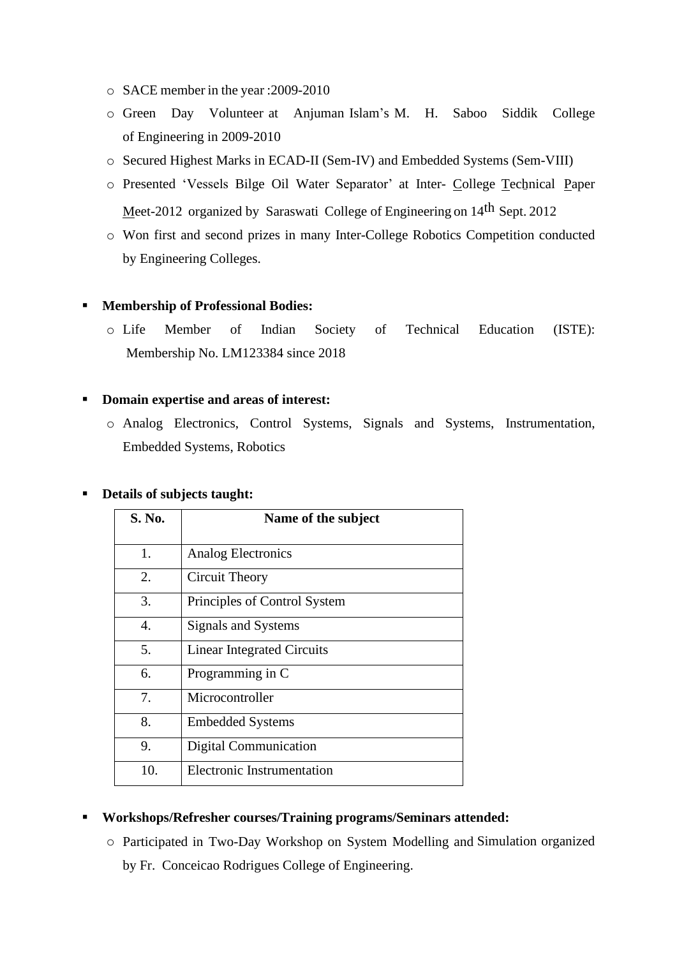- o SACE member in the year :2009-2010
- o Green Day Volunteer at Anjuman Islam's M. H. Saboo Siddik College of Engineering in 2009-2010
- o Secured Highest Marks in ECAD-II (Sem-IV) and Embedded Systems (Sem-VIII)
- o Presented 'Vessels Bilge Oil Water Separator' at Inter- College Technical Paper Meet-2012 organized by Saraswati College of Engineering on 14<sup>th</sup> Sept. 2012
- o Won first and second prizes in many Inter-College Robotics Competition conducted by Engineering Colleges.

#### ▪ **Membership of Professional Bodies:**

o Life Member of Indian Society of Technical Education (ISTE): Membership No. LM123384 since 2018

#### ▪ **Domain expertise and areas of interest:**

o Analog Electronics, Control Systems, Signals and Systems, Instrumentation, Embedded Systems, Robotics

#### ▪ **Details of subjects taught:**

| S. No.         | Name of the subject               |
|----------------|-----------------------------------|
| 1.             | <b>Analog Electronics</b>         |
| 2.             | Circuit Theory                    |
| 3.             | Principles of Control System      |
| $\mathbf{4}$ . | Signals and Systems               |
| 5.             | <b>Linear Integrated Circuits</b> |
| 6.             | Programming in C                  |
| 7.             | Microcontroller                   |
| 8.             | <b>Embedded Systems</b>           |
| 9.             | <b>Digital Communication</b>      |
| 10.            | <b>Electronic Instrumentation</b> |

#### ▪ **Workshops/Refresher courses/Training programs/Seminars attended:**

o Participated in Two-Day Workshop on System Modelling and Simulation organized by Fr. Conceicao Rodrigues College of Engineering.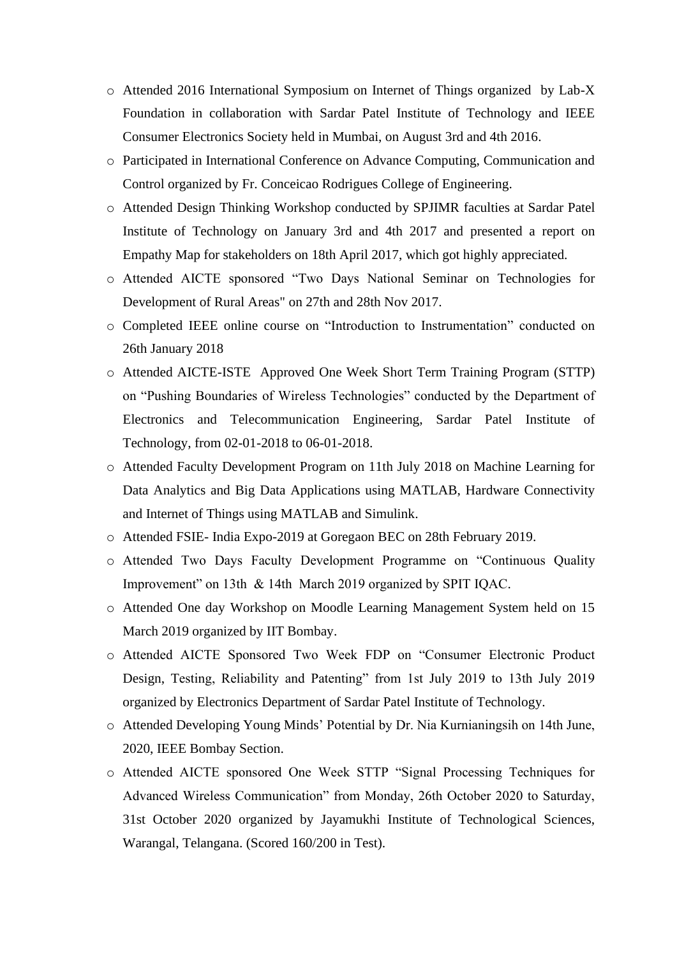- o Attended 2016 International Symposium on Internet of Things organized by Lab-X Foundation in collaboration with Sardar Patel Institute of Technology and IEEE Consumer Electronics Society held in Mumbai, on August 3rd and 4th 2016.
- o Participated in International Conference on Advance Computing, Communication and Control organized by Fr. Conceicao Rodrigues College of Engineering.
- o Attended Design Thinking Workshop conducted by SPJIMR faculties at Sardar Patel Institute of Technology on January 3rd and 4th 2017 and presented a report on Empathy Map for stakeholders on 18th April 2017, which got highly appreciated.
- o Attended AICTE sponsored "Two Days National Seminar on Technologies for Development of Rural Areas" on 27th and 28th Nov 2017.
- o Completed IEEE online course on "Introduction to Instrumentation" conducted on 26th January 2018
- o Attended AICTE-ISTE Approved One Week Short Term Training Program (STTP) on "Pushing Boundaries of Wireless Technologies" conducted by the Department of Electronics and Telecommunication Engineering, Sardar Patel Institute of Technology, from 02-01-2018 to 06-01-2018.
- o Attended Faculty Development Program on 11th July 2018 on Machine Learning for Data Analytics and Big Data Applications using MATLAB, Hardware Connectivity and Internet of Things using MATLAB and Simulink.
- o Attended FSIE- India Expo-2019 at Goregaon BEC on 28th February 2019.
- o Attended Two Days Faculty Development Programme on "Continuous Quality Improvement" on 13th & 14th March 2019 organized by SPIT IQAC.
- o Attended One day Workshop on Moodle Learning Management System held on 15 March 2019 organized by IIT Bombay.
- o Attended AICTE Sponsored Two Week FDP on "Consumer Electronic Product Design, Testing, Reliability and Patenting" from 1st July 2019 to 13th July 2019 organized by Electronics Department of Sardar Patel Institute of Technology.
- o Attended Developing Young Minds' Potential by Dr. Nia Kurnianingsih on 14th June, 2020, IEEE Bombay Section.
- o Attended AICTE sponsored One Week STTP "Signal Processing Techniques for Advanced Wireless Communication" from Monday, 26th October 2020 to Saturday, 31st October 2020 organized by Jayamukhi Institute of Technological Sciences, Warangal, Telangana. (Scored 160/200 in Test).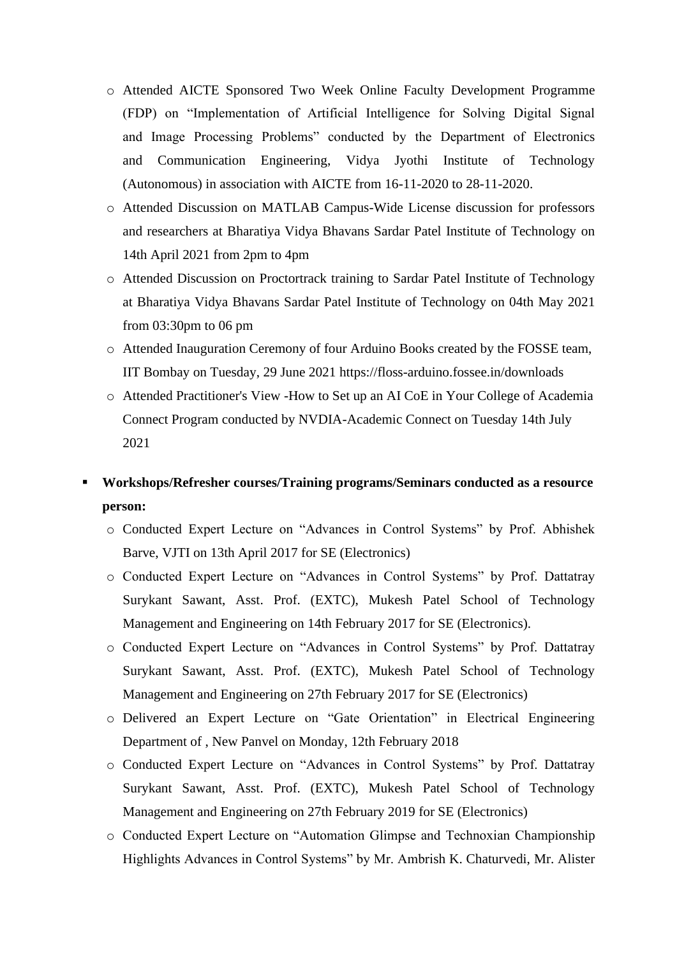- o Attended AICTE Sponsored Two Week Online Faculty Development Programme (FDP) on "Implementation of Artificial Intelligence for Solving Digital Signal and Image Processing Problems" conducted by the Department of Electronics and Communication Engineering, Vidya Jyothi Institute of Technology (Autonomous) in association with AICTE from 16-11-2020 to 28-11-2020.
- o Attended Discussion on MATLAB Campus-Wide License discussion for professors and researchers at Bharatiya Vidya Bhavans Sardar Patel Institute of Technology on 14th April 2021 from 2pm to 4pm
- o Attended Discussion on Proctortrack training to Sardar Patel Institute of Technology at Bharatiya Vidya Bhavans Sardar Patel Institute of Technology on 04th May 2021 from 03:30pm to 06 pm
- o Attended Inauguration Ceremony of four Arduino Books created by the FOSSE team, IIT Bombay on Tuesday, 29 June 2021 <https://floss-arduino.fossee.in/downloads>
- o Attended Practitioner's View -How to Set up an AI CoE in Your College of Academia Connect Program conducted by NVDIA-Academic Connect on Tuesday 14th July 2021

## ▪ **Workshops/Refresher courses/Training programs/Seminars conducted as a resource person:**

- o Conducted Expert Lecture on "Advances in Control Systems" by Prof. Abhishek Barve, VJTI on 13th April 2017 for SE (Electronics)
- o Conducted Expert Lecture on "Advances in Control Systems" by Prof. Dattatray Surykant Sawant, Asst. Prof. (EXTC), Mukesh Patel School of Technology Management and Engineering on 14th February 2017 for SE (Electronics).
- o Conducted Expert Lecture on "Advances in Control Systems" by Prof. Dattatray Surykant Sawant, Asst. Prof. (EXTC), Mukesh Patel School of Technology Management and Engineering on 27th February 2017 for SE (Electronics)
- o Delivered an Expert Lecture on "Gate Orientation" in Electrical Engineering Department of , New Panvel on Monday, 12th February 2018
- o Conducted Expert Lecture on "Advances in Control Systems" by Prof. Dattatray Surykant Sawant, Asst. Prof. (EXTC), Mukesh Patel School of Technology Management and Engineering on 27th February 2019 for SE (Electronics)
- o Conducted Expert Lecture on "Automation Glimpse and Technoxian Championship Highlights Advances in Control Systems" by Mr. Ambrish K. Chaturvedi, Mr. Alister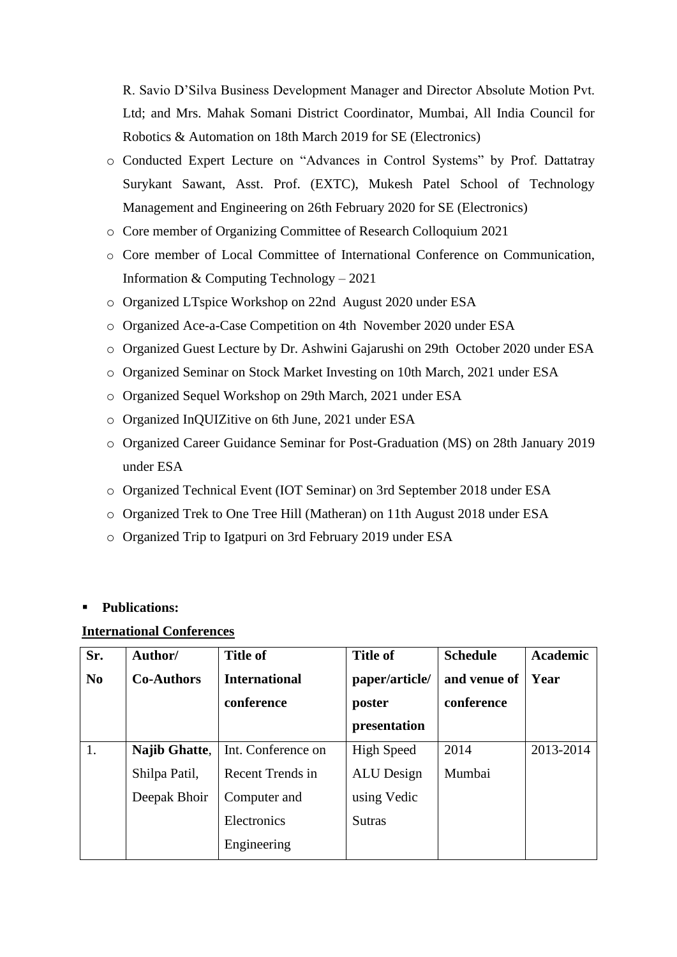R. Savio D'Silva Business Development Manager and Director Absolute Motion Pvt. Ltd; and Mrs. Mahak Somani District Coordinator, Mumbai, All India Council for Robotics & Automation on 18th March 2019 for SE (Electronics)

- o Conducted Expert Lecture on "Advances in Control Systems" by Prof. Dattatray Surykant Sawant, Asst. Prof. (EXTC), Mukesh Patel School of Technology Management and Engineering on 26th February 2020 for SE (Electronics)
- o Core member of Organizing Committee of Research Colloquium 2021
- o Core member of Local Committee of International Conference on Communication, Information & Computing Technology – 2021
- o Organized LTspice Workshop on 22nd August 2020 under ESA
- o Organized Ace-a-Case Competition on 4th November 2020 under ESA
- o Organized Guest Lecture by Dr. Ashwini Gajarushi on 29th October 2020 under ESA
- o Organized Seminar on Stock Market Investing on 10th March, 2021 under ESA
- o Organized Sequel Workshop on 29th March, 2021 under ESA
- o Organized InQUIZitive on 6th June, 2021 under ESA
- o Organized Career Guidance Seminar for Post-Graduation (MS) on 28th January 2019 under ESA
- o Organized Technical Event (IOT Seminar) on 3rd September 2018 under ESA
- o Organized Trek to One Tree Hill (Matheran) on 11th August 2018 under ESA
- o Organized Trip to Igatpuri on 3rd February 2019 under ESA

#### ▪ **Publications:**

#### **International Conferences**

| Sr.            | Author/              | <b>Title of</b>      | <b>Title of</b>   | <b>Schedule</b> | <b>Academic</b> |
|----------------|----------------------|----------------------|-------------------|-----------------|-----------------|
| N <sub>0</sub> | <b>Co-Authors</b>    | <b>International</b> | paper/article/    | and venue of    | Year            |
|                |                      | conference           | poster            | conference      |                 |
|                |                      |                      | presentation      |                 |                 |
| 1.             | <b>Najib Ghatte,</b> | Int. Conference on   | <b>High Speed</b> | 2014            | 2013-2014       |
|                | Shilpa Patil,        | Recent Trends in     | <b>ALU</b> Design | Mumbai          |                 |
|                | Deepak Bhoir         | Computer and         | using Vedic       |                 |                 |
|                |                      | Electronics          | Sutras            |                 |                 |
|                |                      | Engineering          |                   |                 |                 |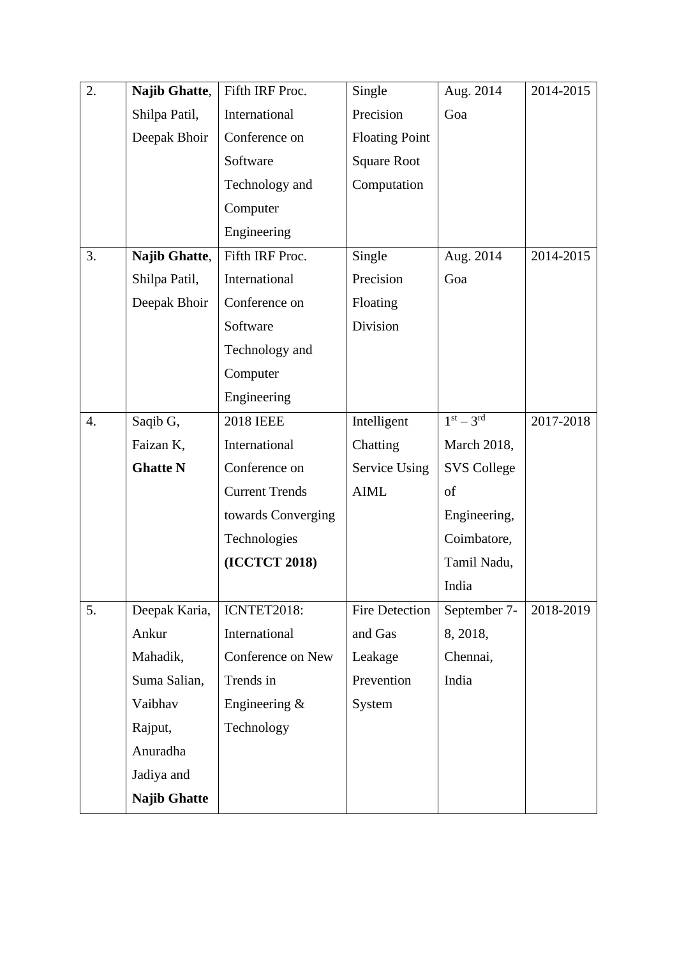| 2. | Najib Ghatte,       | Fifth IRF Proc.       | Single                | Aug. 2014          | 2014-2015 |
|----|---------------------|-----------------------|-----------------------|--------------------|-----------|
|    | Shilpa Patil,       | International         | Precision             | Goa                |           |
|    | Deepak Bhoir        | Conference on         | <b>Floating Point</b> |                    |           |
|    |                     | Software              | <b>Square Root</b>    |                    |           |
|    |                     | Technology and        | Computation           |                    |           |
|    |                     | Computer              |                       |                    |           |
|    |                     | Engineering           |                       |                    |           |
| 3. | Najib Ghatte,       | Fifth IRF Proc.       | Single                | Aug. 2014          | 2014-2015 |
|    | Shilpa Patil,       | International         | Precision             | Goa                |           |
|    | Deepak Bhoir        | Conference on         | Floating              |                    |           |
|    |                     | Software              | Division              |                    |           |
|    |                     | Technology and        |                       |                    |           |
|    |                     | Computer              |                       |                    |           |
|    |                     | Engineering           |                       |                    |           |
| 4. | Saqib G,            | <b>2018 IEEE</b>      | Intelligent           | $1st - 3rd$        | 2017-2018 |
|    | Faizan K,           | International         | Chatting              | March 2018,        |           |
|    | <b>Ghatte N</b>     | Conference on         | Service Using         | <b>SVS College</b> |           |
|    |                     | <b>Current Trends</b> | <b>AIML</b>           | of                 |           |
|    |                     | towards Converging    |                       | Engineering,       |           |
|    |                     | Technologies          |                       | Coimbatore,        |           |
|    |                     | (ICCTCT 2018)         |                       | Tamil Nadu,        |           |
|    |                     |                       |                       | India              |           |
| 5. | Deepak Karia,       | ICNTET2018:           | Fire Detection        | September 7-       | 2018-2019 |
|    | Ankur               | International         | and Gas               | 8, 2018,           |           |
|    | Mahadik,            | Conference on New     | Leakage               | Chennai,           |           |
|    | Suma Salian,        | Trends in             | Prevention            | India              |           |
|    | Vaibhav             | Engineering &         | System                |                    |           |
|    | Rajput,             | Technology            |                       |                    |           |
|    | Anuradha            |                       |                       |                    |           |
|    | Jadiya and          |                       |                       |                    |           |
|    | <b>Najib Ghatte</b> |                       |                       |                    |           |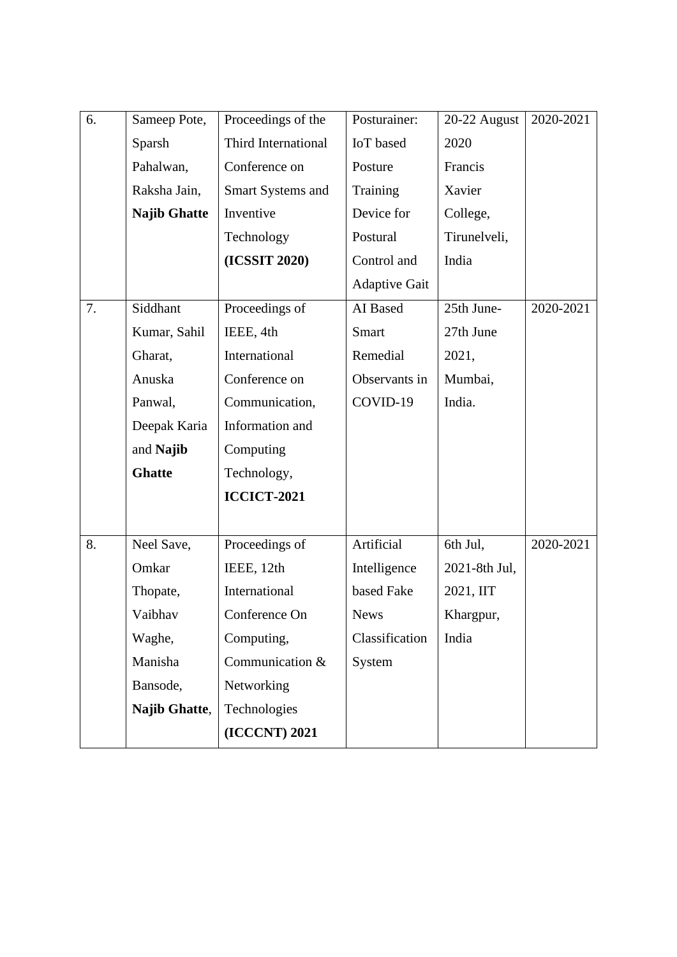| 6. | Sameep Pote,        | Proceedings of the  | Posturainer:         | 20-22 August  | 2020-2021 |
|----|---------------------|---------------------|----------------------|---------------|-----------|
|    | Sparsh              | Third International | <b>IoT</b> based     | 2020          |           |
|    | Pahalwan,           | Conference on       | Posture              | Francis       |           |
|    | Raksha Jain,        | Smart Systems and   | Training             | Xavier        |           |
|    | <b>Najib Ghatte</b> | Inventive           | Device for           | College,      |           |
|    |                     | Technology          | Postural             | Tirunelveli,  |           |
|    |                     | (ICSSIT 2020)       | Control and          | India         |           |
|    |                     |                     | <b>Adaptive Gait</b> |               |           |
| 7. | Siddhant            | Proceedings of      | AI Based             | 25th June-    | 2020-2021 |
|    | Kumar, Sahil        | IEEE, 4th           | <b>Smart</b>         | 27th June     |           |
|    | Gharat,             | International       | Remedial             | 2021,         |           |
|    | Anuska              | Conference on       | Observants in        | Mumbai,       |           |
|    | Panwal,             | Communication,      | COVID-19             | India.        |           |
|    | Deepak Karia        | Information and     |                      |               |           |
|    | and Najib           | Computing           |                      |               |           |
|    | <b>Ghatte</b>       | Technology,         |                      |               |           |
|    |                     | <b>ICCICT-2021</b>  |                      |               |           |
|    |                     |                     |                      |               |           |
| 8. | Neel Save,          | Proceedings of      | Artificial           | 6th Jul,      | 2020-2021 |
|    | Omkar               | IEEE, 12th          | Intelligence         | 2021-8th Jul, |           |
|    | Thopate,            | International       | based Fake           | 2021, IIT     |           |
|    | Vaibhav             | Conference On       | <b>News</b>          | Khargpur,     |           |
|    | Waghe,              | Computing,          | Classification       | India         |           |
|    | Manisha             | Communication &     | System               |               |           |
|    | Bansode,            | Networking          |                      |               |           |
|    | Najib Ghatte,       | Technologies        |                      |               |           |
|    |                     | (ICCCNT) 2021       |                      |               |           |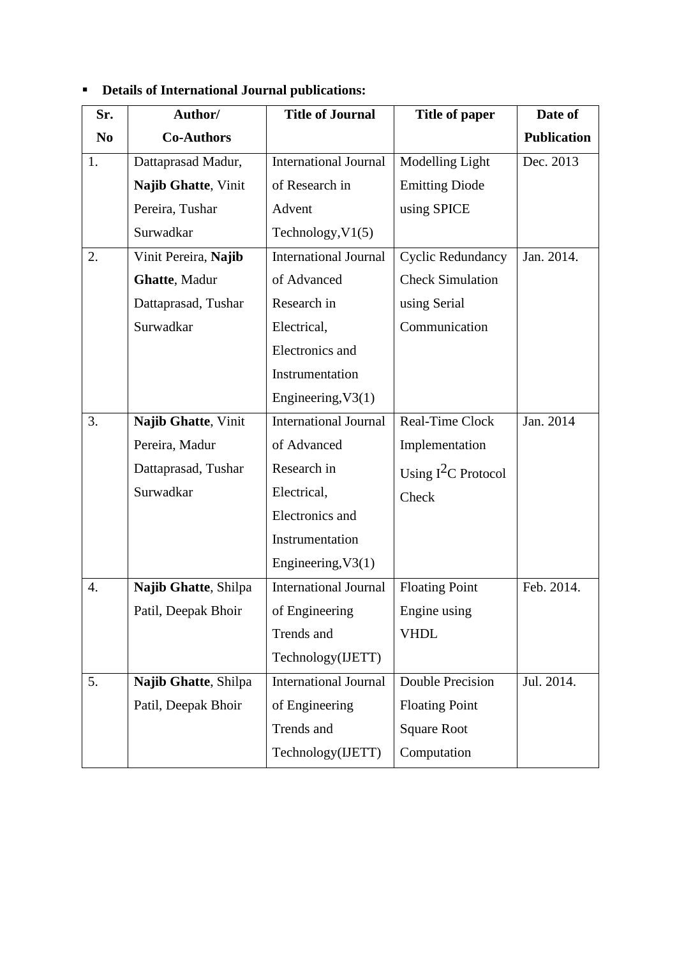| Sr.            | Author/              | <b>Title of Journal</b>      | <b>Title of paper</b>    | Date of            |
|----------------|----------------------|------------------------------|--------------------------|--------------------|
| N <sub>0</sub> | <b>Co-Authors</b>    |                              |                          | <b>Publication</b> |
| 1.             | Dattaprasad Madur,   | <b>International Journal</b> | Modelling Light          | Dec. 2013          |
|                | Najib Ghatte, Vinit  | of Research in               | <b>Emitting Diode</b>    |                    |
|                | Pereira, Tushar      | Advent                       | using SPICE              |                    |
|                | Surwadkar            | Technology, $V1(5)$          |                          |                    |
| 2.             | Vinit Pereira, Najib | International Journal        | <b>Cyclic Redundancy</b> | Jan. 2014.         |
|                | Ghatte, Madur        | of Advanced                  | <b>Check Simulation</b>  |                    |
|                | Dattaprasad, Tushar  | Research in                  | using Serial             |                    |
|                | Surwadkar            | Electrical,                  | Communication            |                    |
|                |                      | Electronics and              |                          |                    |
|                |                      | Instrumentation              |                          |                    |
|                |                      | Engineering, V3(1)           |                          |                    |
| 3.             | Najib Ghatte, Vinit  | International Journal        | Real-Time Clock          | Jan. 2014          |
|                | Pereira, Madur       | of Advanced                  | Implementation           |                    |
|                | Dattaprasad, Tushar  | Research in                  | Using $I^2C$ Protocol    |                    |
|                | Surwadkar            | Electrical,                  | Check                    |                    |
|                |                      | Electronics and              |                          |                    |
|                |                      | Instrumentation              |                          |                    |
|                |                      | Engineering, V3(1)           |                          |                    |
| 4.             | Najib Ghatte, Shilpa | <b>International Journal</b> | <b>Floating Point</b>    | Feb. 2014.         |
|                | Patil, Deepak Bhoir  | of Engineering               | Engine using             |                    |
|                |                      | Trends and                   | <b>VHDL</b>              |                    |
|                |                      | Technology(IJETT)            |                          |                    |
| 5.             | Najib Ghatte, Shilpa | <b>International Journal</b> | <b>Double Precision</b>  | Jul. 2014.         |
|                | Patil, Deepak Bhoir  | of Engineering               | <b>Floating Point</b>    |                    |
|                |                      | Trends and                   | <b>Square Root</b>       |                    |
|                |                      | Technology(IJETT)            | Computation              |                    |

# ▪ **Details of International Journal publications:**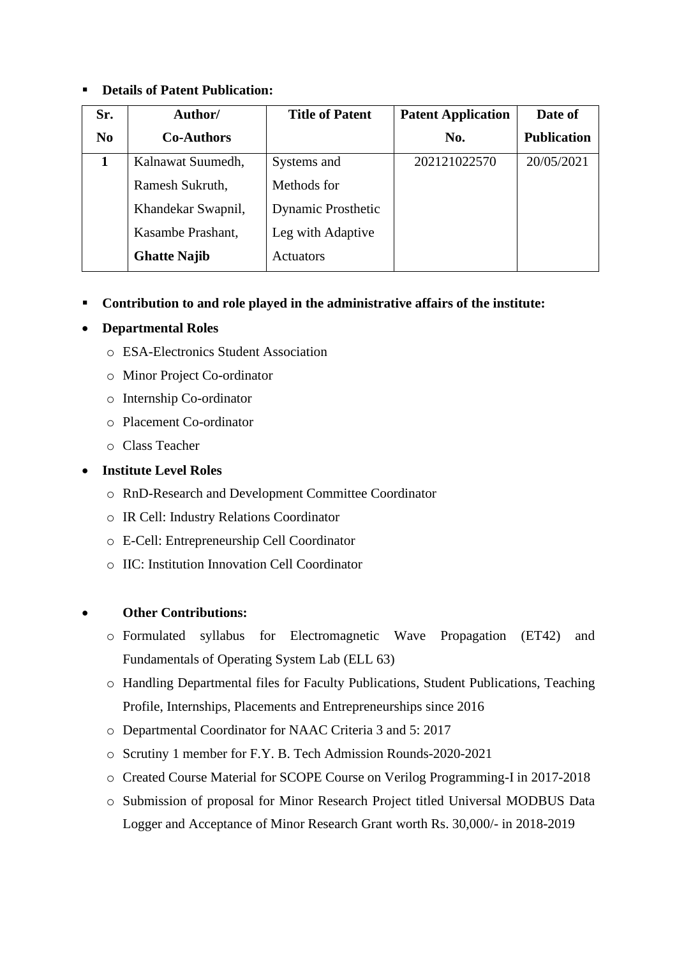## ▪ **Details of Patent Publication:**

| Sr.            | Author/             | <b>Title of Patent</b>    | <b>Patent Application</b> | Date of            |
|----------------|---------------------|---------------------------|---------------------------|--------------------|
| N <sub>0</sub> | <b>Co-Authors</b>   |                           | No.                       | <b>Publication</b> |
| 1              | Kalnawat Suumedh,   | Systems and               | 202121022570              | 20/05/2021         |
|                | Ramesh Sukruth,     | Methods for               |                           |                    |
|                | Khandekar Swapnil,  | <b>Dynamic Prosthetic</b> |                           |                    |
|                | Kasambe Prashant,   | Leg with Adaptive         |                           |                    |
|                | <b>Ghatte Najib</b> | <b>Actuators</b>          |                           |                    |

## ▪ **Contribution to and role played in the administrative affairs of the institute:**

## • **Departmental Roles**

- o ESA-Electronics Student Association
- o Minor Project Co-ordinator
- o Internship Co-ordinator
- o Placement Co-ordinator
- o Class Teacher

## • **Institute Level Roles**

- o RnD-Research and Development Committee Coordinator
- o IR Cell: Industry Relations Coordinator
- o E-Cell: Entrepreneurship Cell Coordinator
- o IIC: Institution Innovation Cell Coordinator

## • **Other Contributions:**

- o Formulated syllabus for Electromagnetic Wave Propagation (ET42) and Fundamentals of Operating System Lab (ELL 63)
- o Handling Departmental files for Faculty Publications, Student Publications, Teaching Profile, Internships, Placements and Entrepreneurships since 2016
- o Departmental Coordinator for NAAC Criteria 3 and 5: 2017
- o Scrutiny 1 member for F.Y. B. Tech Admission Rounds-2020-2021
- o Created Course Material for SCOPE Course on Verilog Programming-I in 2017-2018
- o Submission of proposal for Minor Research Project titled Universal MODBUS Data Logger and Acceptance of Minor Research Grant worth Rs. 30,000/- in 2018-2019